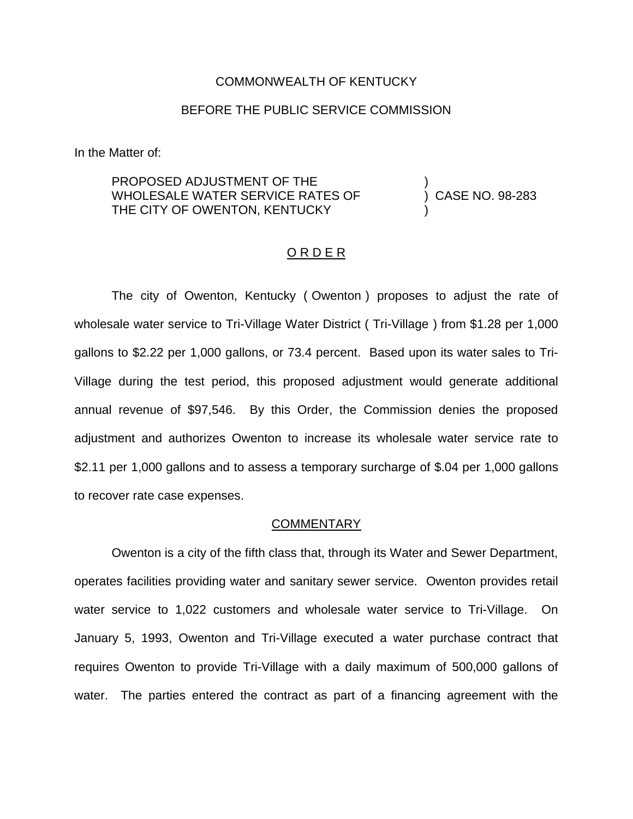## COMMONWEALTH OF KENTUCKY

## BEFORE THE PUBLIC SERVICE COMMISSION

In the Matter of:

PROPOSED ADJUSTMENT OF THE WHOLESALE WATER SERVICE RATES OF THE CITY OF OWENTON, KENTUCKY

) CASE NO. 98-283

)

)

#### O R D E R

The city of Owenton, Kentucky ( Owenton ) proposes to adjust the rate of wholesale water service to Tri-Village Water District ( Tri-Village ) from \$1.28 per 1,000 gallons to \$2.22 per 1,000 gallons, or 73.4 percent. Based upon its water sales to Tri-Village during the test period, this proposed adjustment would generate additional annual revenue of \$97,546. By this Order, the Commission denies the proposed adjustment and authorizes Owenton to increase its wholesale water service rate to \$2.11 per 1,000 gallons and to assess a temporary surcharge of \$.04 per 1,000 gallons to recover rate case expenses.

## **COMMENTARY**

Owenton is a city of the fifth class that, through its Water and Sewer Department, operates facilities providing water and sanitary sewer service. Owenton provides retail water service to 1,022 customers and wholesale water service to Tri-Village. On January 5, 1993, Owenton and Tri-Village executed a water purchase contract that requires Owenton to provide Tri-Village with a daily maximum of 500,000 gallons of water. The parties entered the contract as part of a financing agreement with the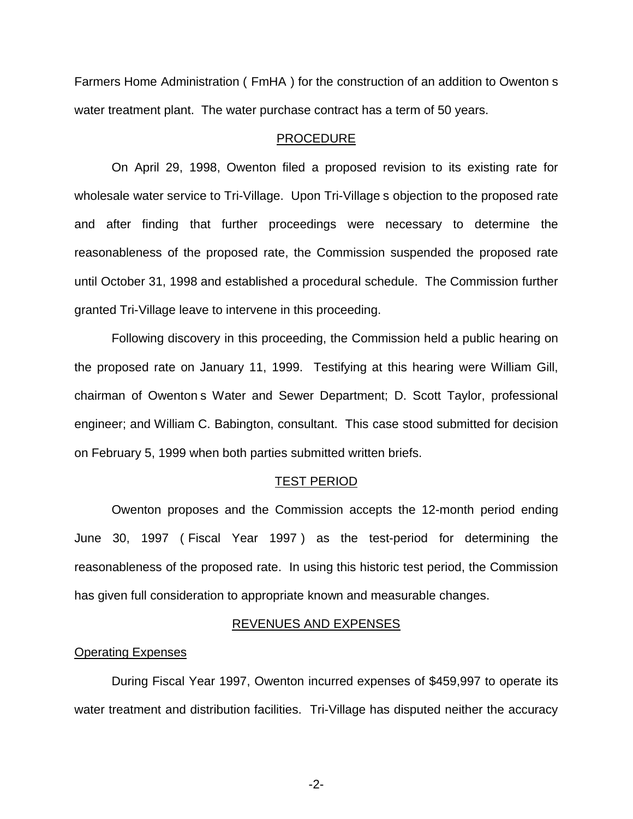Farmers Home Administration ( FmHA ) for the construction of an addition to Owenton s water treatment plant. The water purchase contract has a term of 50 years.

### PROCEDURE

On April 29, 1998, Owenton filed a proposed revision to its existing rate for wholesale water service to Tri-Village. Upon Tri-Village s objection to the proposed rate and after finding that further proceedings were necessary to determine the reasonableness of the proposed rate, the Commission suspended the proposed rate until October 31, 1998 and established a procedural schedule. The Commission further granted Tri-Village leave to intervene in this proceeding.

Following discovery in this proceeding, the Commission held a public hearing on the proposed rate on January 11, 1999. Testifying at this hearing were William Gill, chairman of Owenton s Water and Sewer Department; D. Scott Taylor, professional engineer; and William C. Babington, consultant. This case stood submitted for decision on February 5, 1999 when both parties submitted written briefs.

#### TEST PERIOD

Owenton proposes and the Commission accepts the 12-month period ending June 30, 1997 ( Fiscal Year 1997 ) as the test-period for determining the reasonableness of the proposed rate. In using this historic test period, the Commission has given full consideration to appropriate known and measurable changes.

### REVENUES AND EXPENSES

#### Operating Expenses

During Fiscal Year 1997, Owenton incurred expenses of \$459,997 to operate its water treatment and distribution facilities. Tri-Village has disputed neither the accuracy

-2-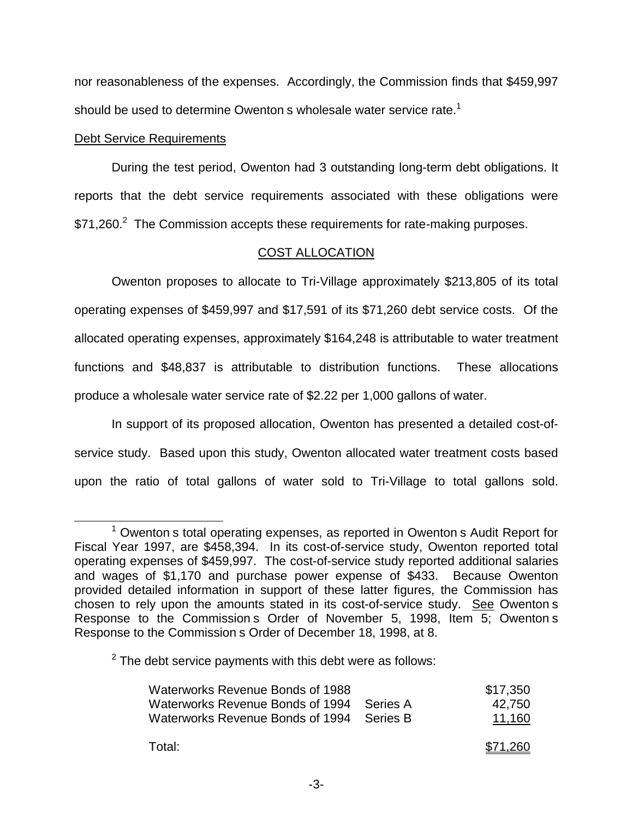nor reasonableness of the expenses. Accordingly, the Commission finds that \$459,997 should be used to determine Owenton s wholesale water service rate.<sup>1</sup>

# Debt Service Requirements

During the test period, Owenton had 3 outstanding long-term debt obligations. It reports that the debt service requirements associated with these obligations were \$71,260.<sup>2</sup> The Commission accepts these requirements for rate-making purposes.

# COST ALLOCATION

Owenton proposes to allocate to Tri-Village approximately \$213,805 of its total operating expenses of \$459,997 and \$17,591 of its \$71,260 debt service costs. Of the allocated operating expenses, approximately \$164,248 is attributable to water treatment functions and \$48,837 is attributable to distribution functions. These allocations produce a wholesale water service rate of \$2.22 per 1,000 gallons of water.

In support of its proposed allocation, Owenton has presented a detailed cost-ofservice study. Based upon this study, Owenton allocated water treatment costs based upon the ratio of total gallons of water sold to Tri-Village to total gallons sold.

 $2$  The debt service payments with this debt were as follows:

| Waterworks Revenue Bonds of 1988<br>Waterworks Revenue Bonds of 1994<br>Waterworks Revenue Bonds of 1994 Series B | - Series A | \$17.350<br>42,750<br>11,160 |
|-------------------------------------------------------------------------------------------------------------------|------------|------------------------------|
| Total:                                                                                                            |            | \$71.260                     |

 $1$  Owenton s total operating expenses, as reported in Owenton s Audit Report for Fiscal Year 1997, are \$458,394. In its cost-of-service study, Owenton reported total operating expenses of \$459,997. The cost-of-service study reported additional salaries and wages of \$1,170 and purchase power expense of \$433. Because Owenton provided detailed information in support of these latter figures, the Commission has chosen to rely upon the amounts stated in its cost-of-service study. See Owenton s Response to the Commission s Order of November 5, 1998, Item 5; Owenton s Response to the Commission s Order of December 18, 1998, at 8.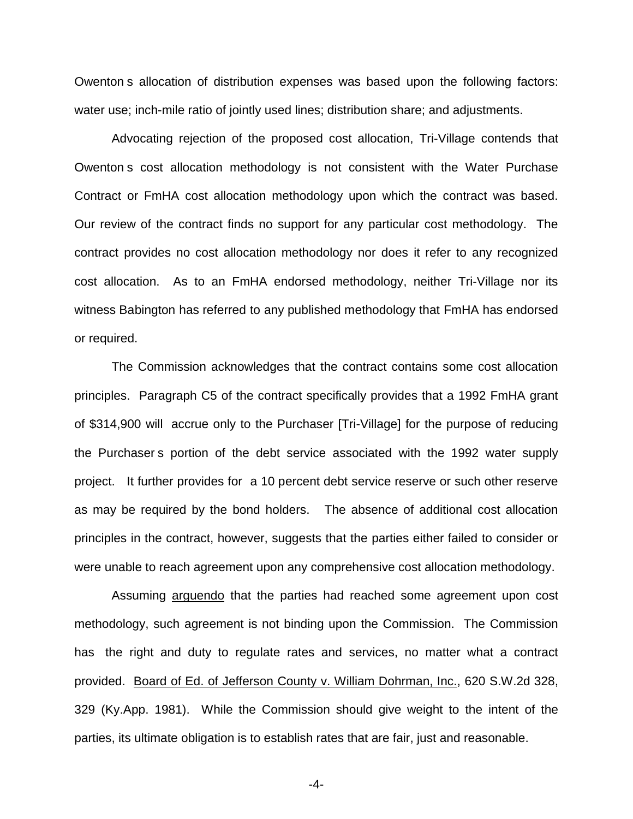Owenton s allocation of distribution expenses was based upon the following factors: water use; inch-mile ratio of jointly used lines; distribution share; and adjustments.

Advocating rejection of the proposed cost allocation, Tri-Village contends that Owenton s cost allocation methodology is not consistent with the Water Purchase Contract or FmHA cost allocation methodology upon which the contract was based. Our review of the contract finds no support for any particular cost methodology. The contract provides no cost allocation methodology nor does it refer to any recognized cost allocation. As to an FmHA endorsed methodology, neither Tri-Village nor its witness Babington has referred to any published methodology that FmHA has endorsed or required.

The Commission acknowledges that the contract contains some cost allocation principles. Paragraph C5 of the contract specifically provides that a 1992 FmHA grant of \$314,900 will accrue only to the Purchaser [Tri-Village] for the purpose of reducing the Purchaser s portion of the debt service associated with the 1992 water supply project. It further provides for a 10 percent debt service reserve or such other reserve as may be required by the bond holders. The absence of additional cost allocation principles in the contract, however, suggests that the parties either failed to consider or were unable to reach agreement upon any comprehensive cost allocation methodology.

Assuming arguendo that the parties had reached some agreement upon cost methodology, such agreement is not binding upon the Commission. The Commission has the right and duty to regulate rates and services, no matter what a contract provided. Board of Ed. of Jefferson County v. William Dohrman, Inc., 620 S.W.2d 328, 329 (Ky.App. 1981). While the Commission should give weight to the intent of the parties, its ultimate obligation is to establish rates that are fair, just and reasonable.

-4-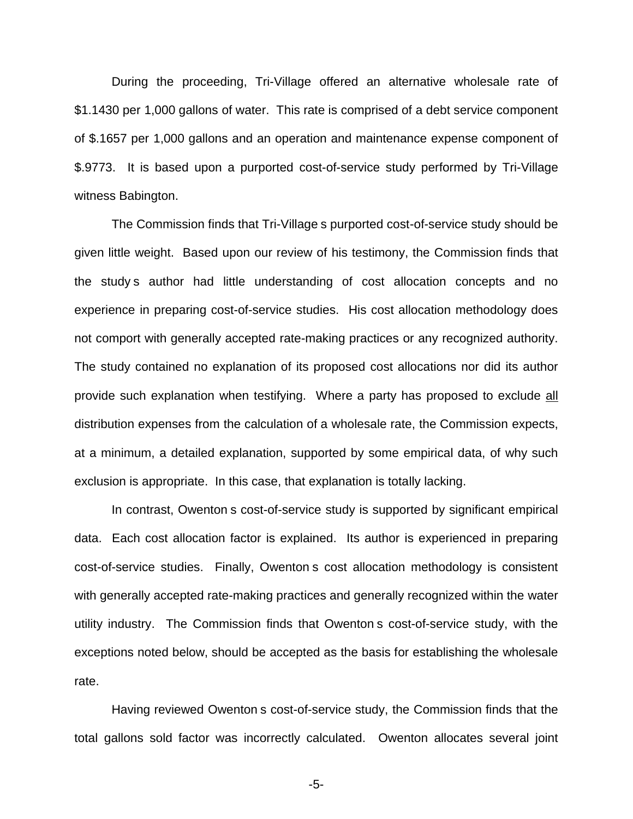During the proceeding, Tri-Village offered an alternative wholesale rate of \$1.1430 per 1,000 gallons of water. This rate is comprised of a debt service component of \$.1657 per 1,000 gallons and an operation and maintenance expense component of \$.9773. It is based upon a purported cost-of-service study performed by Tri-Village witness Babington.

The Commission finds that Tri-Village s purported cost-of-service study should be given little weight. Based upon our review of his testimony, the Commission finds that the study s author had little understanding of cost allocation concepts and no experience in preparing cost-of-service studies. His cost allocation methodology does not comport with generally accepted rate-making practices or any recognized authority. The study contained no explanation of its proposed cost allocations nor did its author provide such explanation when testifying. Where a party has proposed to exclude all distribution expenses from the calculation of a wholesale rate, the Commission expects, at a minimum, a detailed explanation, supported by some empirical data, of why such exclusion is appropriate. In this case, that explanation is totally lacking.

In contrast, Owenton s cost-of-service study is supported by significant empirical data. Each cost allocation factor is explained. Its author is experienced in preparing cost-of-service studies. Finally, Owenton s cost allocation methodology is consistent with generally accepted rate-making practices and generally recognized within the water utility industry. The Commission finds that Owenton s cost-of-service study, with the exceptions noted below, should be accepted as the basis for establishing the wholesale rate.

Having reviewed Owenton s cost-of-service study, the Commission finds that the total gallons sold factor was incorrectly calculated. Owenton allocates several joint

-5-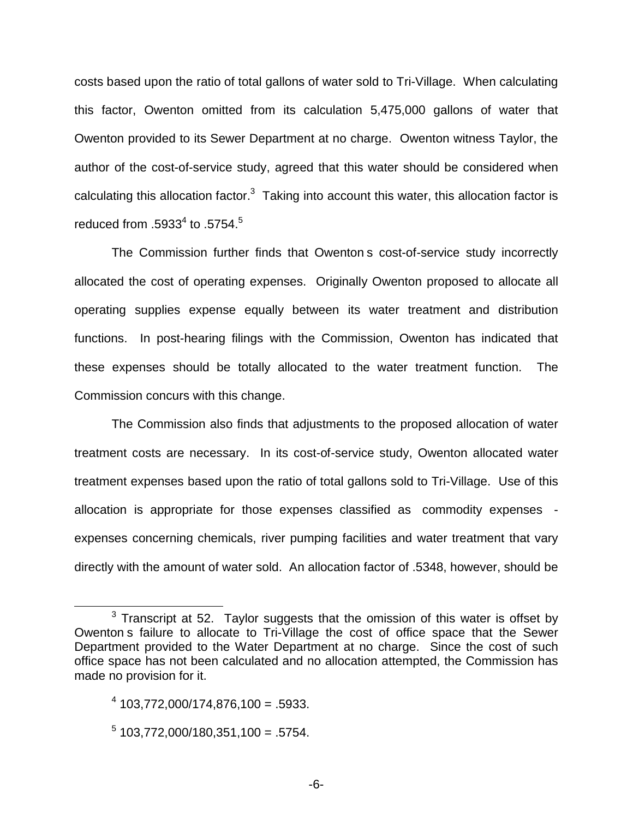costs based upon the ratio of total gallons of water sold to Tri-Village. When calculating this factor, Owenton omitted from its calculation 5,475,000 gallons of water that Owenton provided to its Sewer Department at no charge. Owenton witness Taylor, the author of the cost-of-service study, agreed that this water should be considered when calculating this allocation factor. $3$  Taking into account this water, this allocation factor is reduced from  $.5933<sup>4</sup>$  to  $.5754<sup>5</sup>$ 

The Commission further finds that Owenton s cost-of-service study incorrectly allocated the cost of operating expenses. Originally Owenton proposed to allocate all operating supplies expense equally between its water treatment and distribution functions. In post-hearing filings with the Commission, Owenton has indicated that these expenses should be totally allocated to the water treatment function. The Commission concurs with this change.

The Commission also finds that adjustments to the proposed allocation of water treatment costs are necessary. In its cost-of-service study, Owenton allocated water treatment expenses based upon the ratio of total gallons sold to Tri-Village. Use of this allocation is appropriate for those expenses classified as commodity expenses expenses concerning chemicals, river pumping facilities and water treatment that vary directly with the amount of water sold. An allocation factor of .5348, however, should be

 $<sup>5</sup>$  103,772,000/180,351,100 = .5754.</sup>

 $3$  Transcript at 52. Taylor suggests that the omission of this water is offset by Owenton s failure to allocate to Tri-Village the cost of office space that the Sewer Department provided to the Water Department at no charge. Since the cost of such office space has not been calculated and no allocation attempted, the Commission has made no provision for it.

 $4\overline{)103.772.000/174.876.100} = .5933.$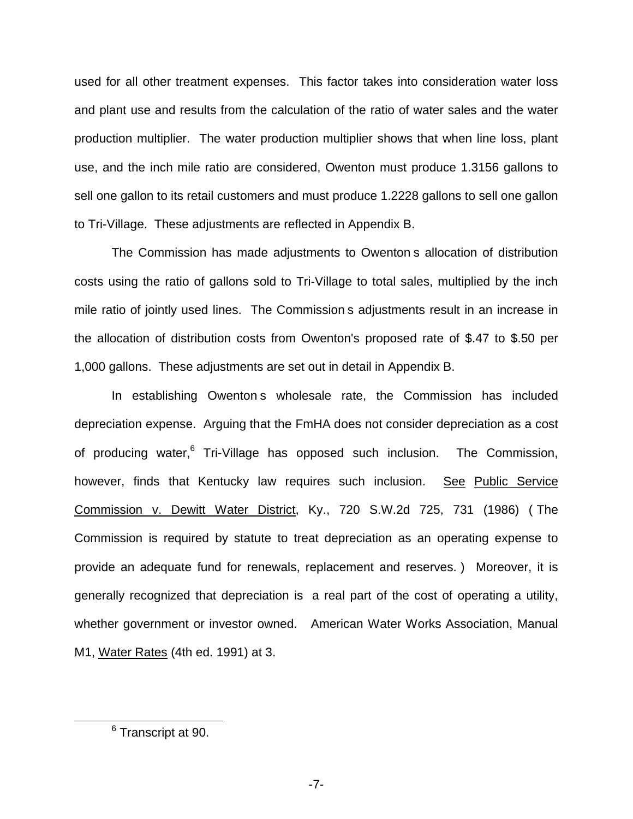used for all other treatment expenses. This factor takes into consideration water loss and plant use and results from the calculation of the ratio of water sales and the water production multiplier. The water production multiplier shows that when line loss, plant use, and the inch mile ratio are considered, Owenton must produce 1.3156 gallons to sell one gallon to its retail customers and must produce 1.2228 gallons to sell one gallon to Tri-Village. These adjustments are reflected in Appendix B.

The Commission has made adjustments to Owenton s allocation of distribution costs using the ratio of gallons sold to Tri-Village to total sales, multiplied by the inch mile ratio of jointly used lines. The Commission s adjustments result in an increase in the allocation of distribution costs from Owenton's proposed rate of \$.47 to \$.50 per 1,000 gallons. These adjustments are set out in detail in Appendix B.

In establishing Owenton s wholesale rate, the Commission has included depreciation expense. Arguing that the FmHA does not consider depreciation as a cost of producing water,<sup>6</sup> Tri-Village has opposed such inclusion. The Commission, however, finds that Kentucky law requires such inclusion. See Public Service Commission v. Dewitt Water District, Ky., 720 S.W.2d 725, 731 (1986) ( The Commission is required by statute to treat depreciation as an operating expense to provide an adequate fund for renewals, replacement and reserves. ) Moreover, it is generally recognized that depreciation is a real part of the cost of operating a utility, whether government or investor owned. American Water Works Association, Manual M1, Water Rates (4th ed. 1991) at 3.

<sup>6</sup> Transcript at 90.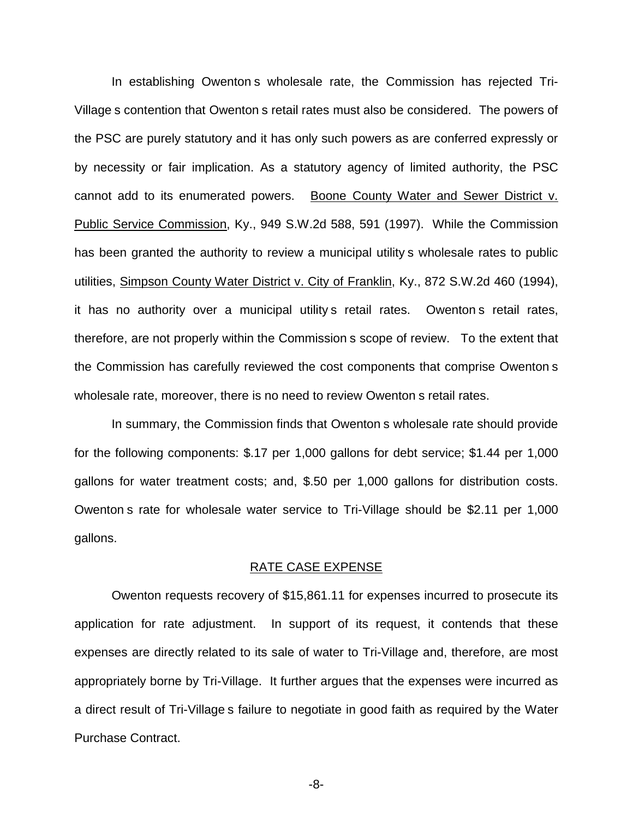In establishing Owenton s wholesale rate, the Commission has rejected Tri-Village s contention that Owenton s retail rates must also be considered. The powers of the PSC are purely statutory and it has only such powers as are conferred expressly or by necessity or fair implication. As a statutory agency of limited authority, the PSC cannot add to its enumerated powers. Boone County Water and Sewer District v. Public Service Commission, Ky., 949 S.W.2d 588, 591 (1997). While the Commission has been granted the authority to review a municipal utility s wholesale rates to public utilities, Simpson County Water District v. City of Franklin, Ky., 872 S.W.2d 460 (1994), it has no authority over a municipal utility s retail rates. Owenton s retail rates, therefore, are not properly within the Commission s scope of review. To the extent that the Commission has carefully reviewed the cost components that comprise Owenton s wholesale rate, moreover, there is no need to review Owenton s retail rates.

In summary, the Commission finds that Owenton s wholesale rate should provide for the following components: \$.17 per 1,000 gallons for debt service; \$1.44 per 1,000 gallons for water treatment costs; and, \$.50 per 1,000 gallons for distribution costs. Owenton s rate for wholesale water service to Tri-Village should be \$2.11 per 1,000 gallons.

#### RATE CASE EXPENSE

Owenton requests recovery of \$15,861.11 for expenses incurred to prosecute its application for rate adjustment. In support of its request, it contends that these expenses are directly related to its sale of water to Tri-Village and, therefore, are most appropriately borne by Tri-Village. It further argues that the expenses were incurred as a direct result of Tri-Village s failure to negotiate in good faith as required by the Water Purchase Contract.

-8-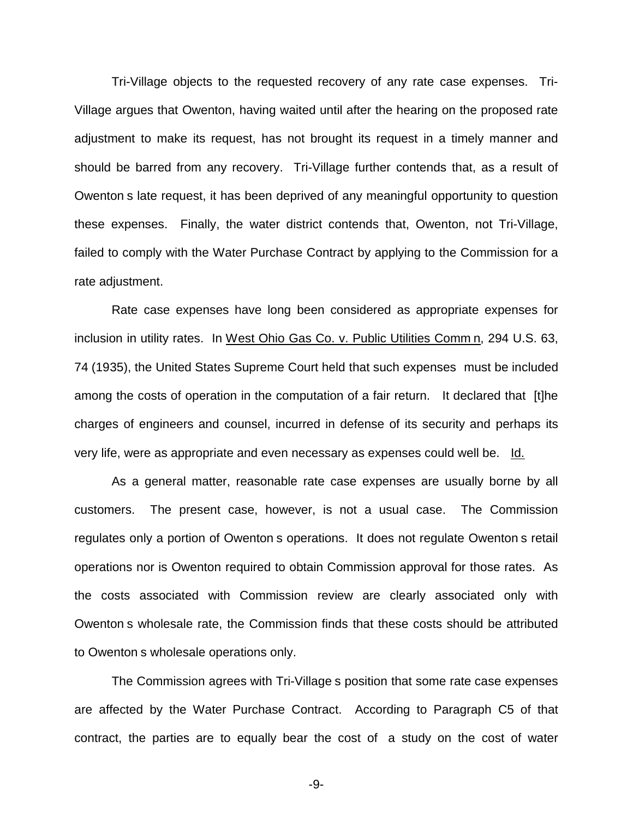Tri-Village objects to the requested recovery of any rate case expenses. Tri-Village argues that Owenton, having waited until after the hearing on the proposed rate adjustment to make its request, has not brought its request in a timely manner and should be barred from any recovery. Tri-Village further contends that, as a result of Owenton s late request, it has been deprived of any meaningful opportunity to question these expenses. Finally, the water district contends that, Owenton, not Tri-Village, failed to comply with the Water Purchase Contract by applying to the Commission for a rate adjustment.

Rate case expenses have long been considered as appropriate expenses for inclusion in utility rates. In West Ohio Gas Co. v. Public Utilities Comm n, 294 U.S. 63, 74 (1935), the United States Supreme Court held that such expenses must be included among the costs of operation in the computation of a fair return. It declared that [t]he charges of engineers and counsel, incurred in defense of its security and perhaps its very life, were as appropriate and even necessary as expenses could well be. Id.

As a general matter, reasonable rate case expenses are usually borne by all customers. The present case, however, is not a usual case. The Commission regulates only a portion of Owenton s operations. It does not regulate Owenton s retail operations nor is Owenton required to obtain Commission approval for those rates. As the costs associated with Commission review are clearly associated only with Owenton s wholesale rate, the Commission finds that these costs should be attributed to Owenton s wholesale operations only.

The Commission agrees with Tri-Village s position that some rate case expenses are affected by the Water Purchase Contract. According to Paragraph C5 of that contract, the parties are to equally bear the cost of a study on the cost of water

-9-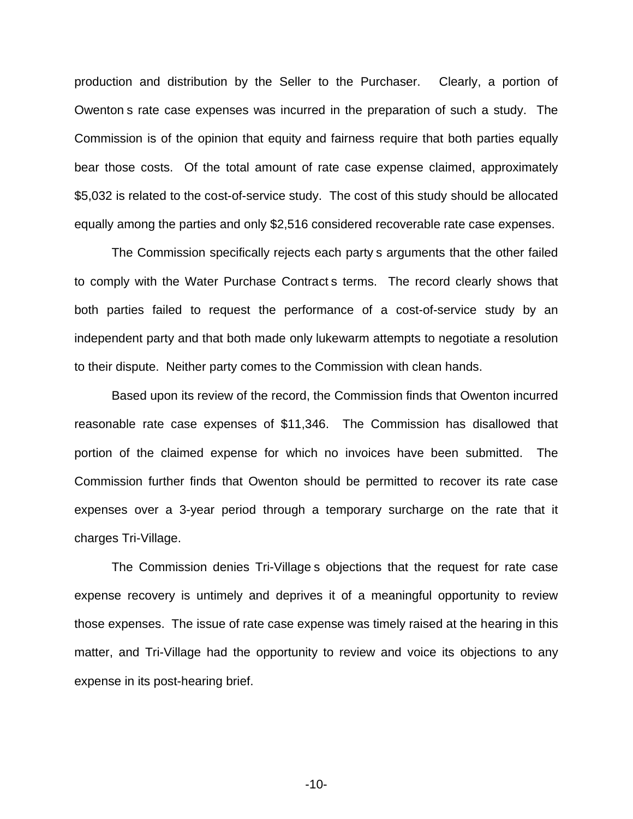production and distribution by the Seller to the Purchaser. Clearly, a portion of Owenton s rate case expenses was incurred in the preparation of such a study. The Commission is of the opinion that equity and fairness require that both parties equally bear those costs. Of the total amount of rate case expense claimed, approximately \$5,032 is related to the cost-of-service study. The cost of this study should be allocated equally among the parties and only \$2,516 considered recoverable rate case expenses.

The Commission specifically rejects each party s arguments that the other failed to comply with the Water Purchase Contract s terms. The record clearly shows that both parties failed to request the performance of a cost-of-service study by an independent party and that both made only lukewarm attempts to negotiate a resolution to their dispute. Neither party comes to the Commission with clean hands.

Based upon its review of the record, the Commission finds that Owenton incurred reasonable rate case expenses of \$11,346. The Commission has disallowed that portion of the claimed expense for which no invoices have been submitted. The Commission further finds that Owenton should be permitted to recover its rate case expenses over a 3-year period through a temporary surcharge on the rate that it charges Tri-Village.

The Commission denies Tri-Village s objections that the request for rate case expense recovery is untimely and deprives it of a meaningful opportunity to review those expenses. The issue of rate case expense was timely raised at the hearing in this matter, and Tri-Village had the opportunity to review and voice its objections to any expense in its post-hearing brief.

-10-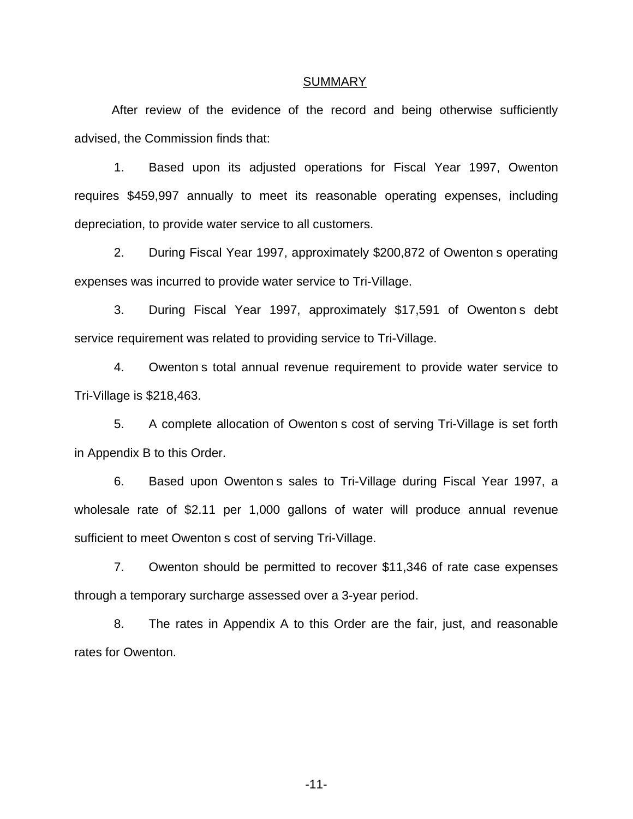#### SUMMARY

After review of the evidence of the record and being otherwise sufficiently advised, the Commission finds that:

1. Based upon its adjusted operations for Fiscal Year 1997, Owenton requires \$459,997 annually to meet its reasonable operating expenses, including depreciation, to provide water service to all customers.

2. During Fiscal Year 1997, approximately \$200,872 of Owenton s operating expenses was incurred to provide water service to Tri-Village.

3. During Fiscal Year 1997, approximately \$17,591 of Owenton s debt service requirement was related to providing service to Tri-Village.

4. Owenton s total annual revenue requirement to provide water service to Tri-Village is \$218,463.

5. A complete allocation of Owenton s cost of serving Tri-Village is set forth in Appendix B to this Order.

6. Based upon Owenton s sales to Tri-Village during Fiscal Year 1997, a wholesale rate of \$2.11 per 1,000 gallons of water will produce annual revenue sufficient to meet Owenton s cost of serving Tri-Village.

7. Owenton should be permitted to recover \$11,346 of rate case expenses through a temporary surcharge assessed over a 3-year period.

8. The rates in Appendix A to this Order are the fair, just, and reasonable rates for Owenton.

-11-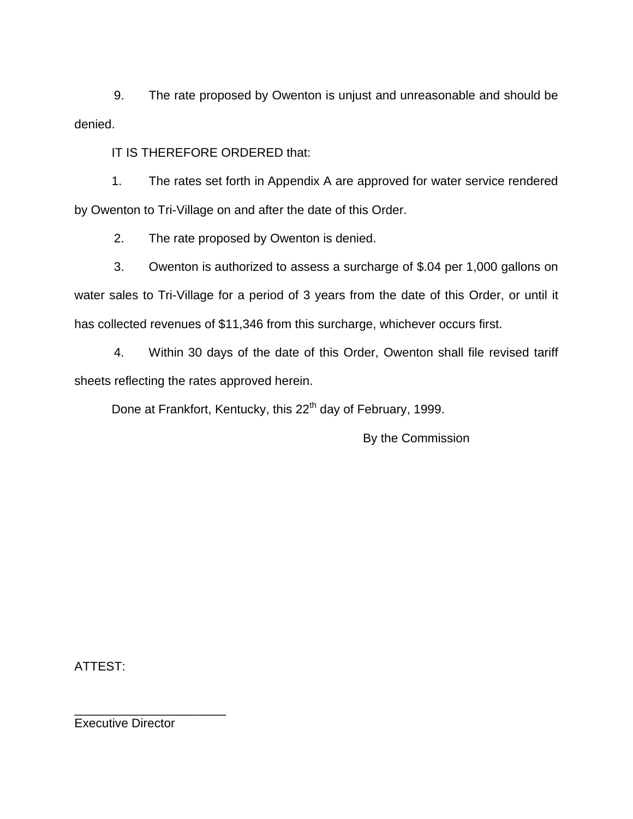9. The rate proposed by Owenton is unjust and unreasonable and should be denied.

IT IS THEREFORE ORDERED that:

1. The rates set forth in Appendix A are approved for water service rendered by Owenton to Tri-Village on and after the date of this Order.

2. The rate proposed by Owenton is denied.

3. Owenton is authorized to assess a surcharge of \$.04 per 1,000 gallons on water sales to Tri-Village for a period of 3 years from the date of this Order, or until it has collected revenues of \$11,346 from this surcharge, whichever occurs first.

4. Within 30 days of the date of this Order, Owenton shall file revised tariff sheets reflecting the rates approved herein.

Done at Frankfort, Kentucky, this 22<sup>th</sup> day of February, 1999.

By the Commission

ATTEST:

Executive Director

\_\_\_\_\_\_\_\_\_\_\_\_\_\_\_\_\_\_\_\_\_\_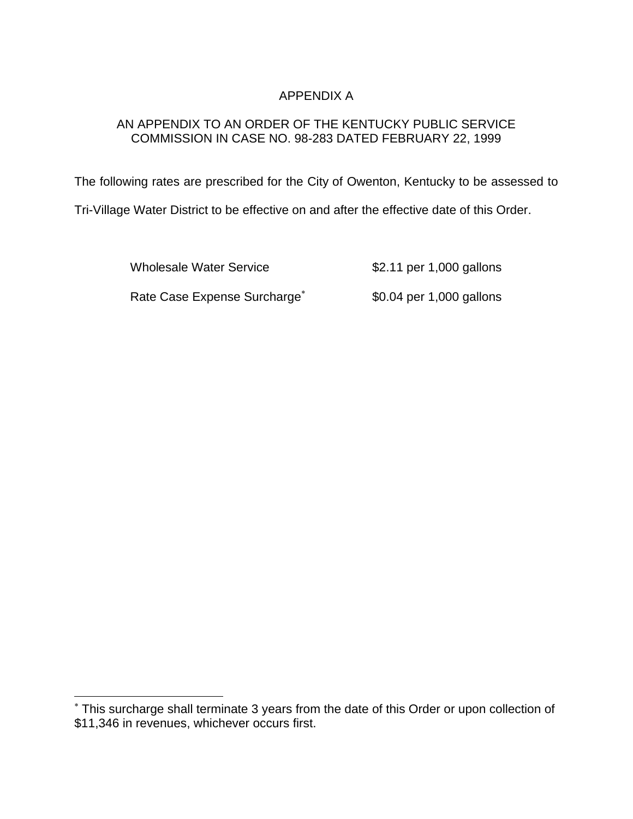# APPENDIX A

# AN APPENDIX TO AN ORDER OF THE KENTUCKY PUBLIC SERVICE COMMISSION IN CASE NO. 98-283 DATED FEBRUARY 22, 1999

The following rates are prescribed for the City of Owenton, Kentucky to be assessed to

Tri-Village Water District to be effective on and after the effective date of this Order.

Wholesale Water Service \$2.11 per 1,000 gallons

Rate Case Expense Surcharge<sup>\*</sup> \$0.04 per 1,000 gallons

<sup>\*</sup> This surcharge shall terminate 3 years from the date of this Order or upon collection of \$11,346 in revenues, whichever occurs first.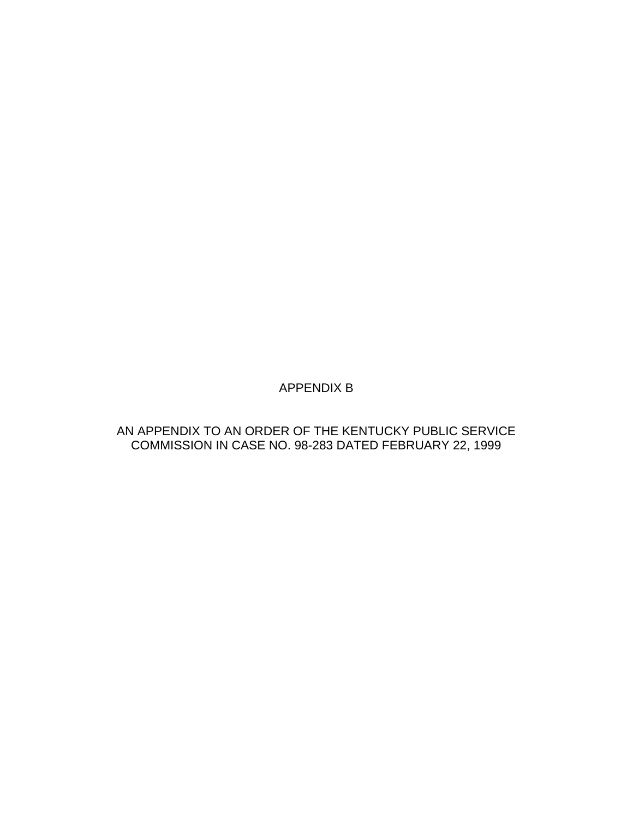APPENDIX B

AN APPENDIX TO AN ORDER OF THE KENTUCKY PUBLIC SERVICE COMMISSION IN CASE NO. 98-283 DATED FEBRUARY 22, 1999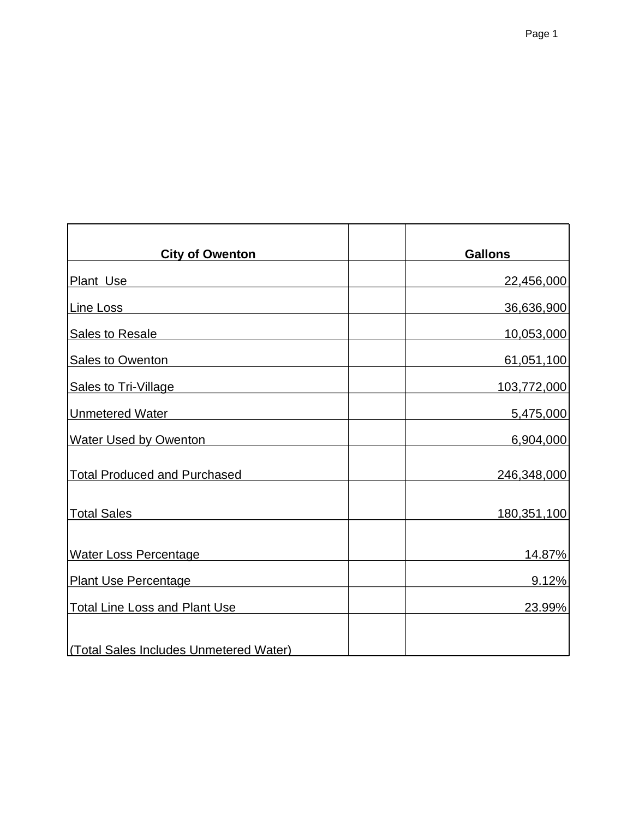| <b>City of Owenton</b>                 | <b>Gallons</b> |
|----------------------------------------|----------------|
| Plant Use                              | 22,456,000     |
| Line Loss                              | 36,636,900     |
| <b>Sales to Resale</b>                 | 10,053,000     |
| Sales to Owenton                       | 61,051,100     |
| Sales to Tri-Village                   | 103,772,000    |
| <b>Unmetered Water</b>                 | 5,475,000      |
| <b>Water Used by Owenton</b>           | 6,904,000      |
| <b>Total Produced and Purchased</b>    | 246,348,000    |
| <b>Total Sales</b>                     | 180,351,100    |
| <b>Water Loss Percentage</b>           | 14.87%         |
| <b>Plant Use Percentage</b>            | 9.12%          |
| <b>Total Line Loss and Plant Use</b>   | 23.99%         |
| (Total Sales Includes Unmetered Water) |                |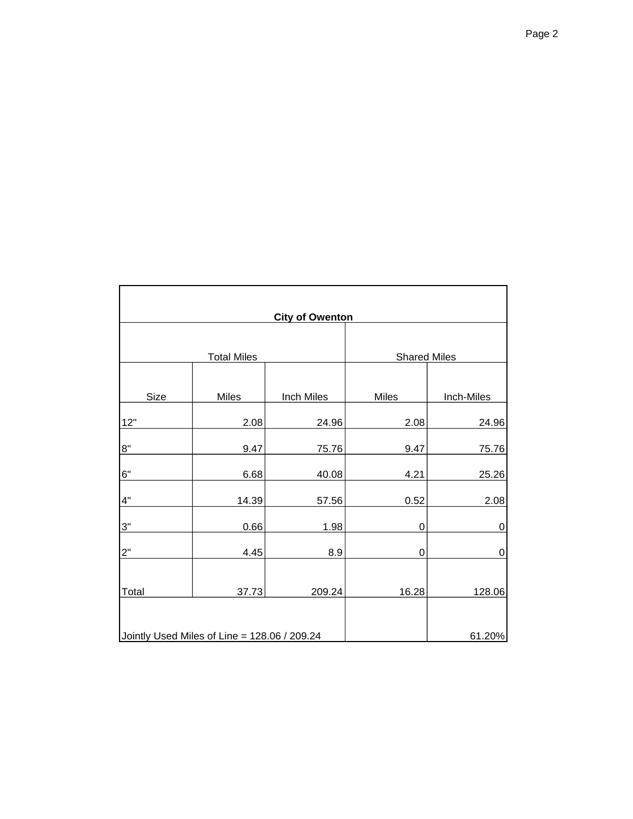| <b>City of Owenton</b> |                                              |                     |             |                  |  |
|------------------------|----------------------------------------------|---------------------|-------------|------------------|--|
|                        |                                              |                     |             |                  |  |
| <b>Total Miles</b>     |                                              | <b>Shared Miles</b> |             |                  |  |
|                        |                                              |                     |             |                  |  |
| Size                   | Miles                                        | <b>Inch Miles</b>   | Miles       | Inch-Miles       |  |
| 12"                    | 2.08                                         | 24.96               | 2.08        | 24.96            |  |
| 8"                     | 9.47                                         | 75.76               | 9.47        | 75.76            |  |
| 6"                     | 6.68                                         | 40.08               | 4.21        | 25.26            |  |
| 4"                     | 14.39                                        | 57.56               | 0.52        | 2.08             |  |
| 3"                     | 0.66                                         | 1.98                | $\mathbf 0$ | $\boldsymbol{0}$ |  |
| 2"                     | 4.45                                         | 8.9                 | $\mathbf 0$ | $\mathbf 0$      |  |
|                        |                                              |                     |             |                  |  |
| Total                  | 37.73                                        | 209.24              | 16.28       | 128.06           |  |
|                        |                                              |                     |             |                  |  |
|                        | Jointly Used Miles of Line = 128.06 / 209.24 |                     |             | 61.20%           |  |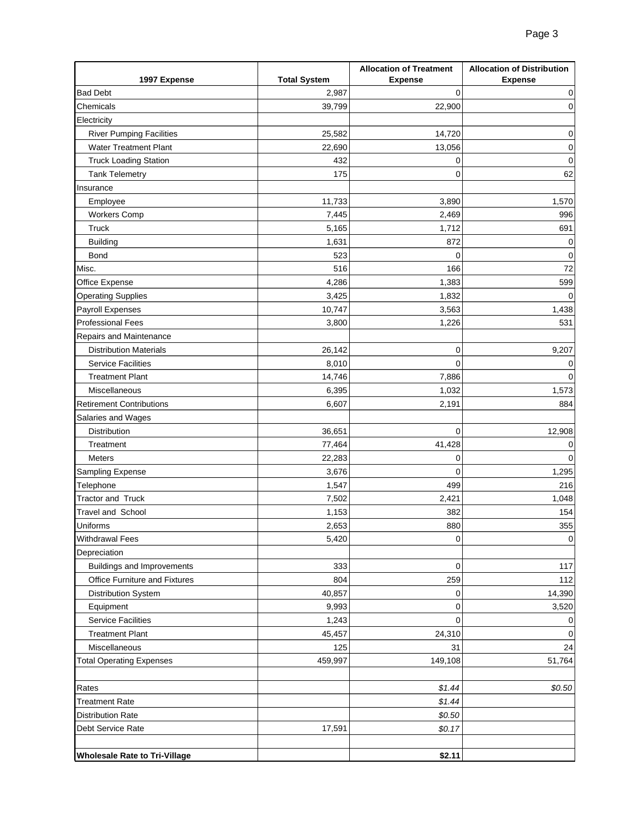|                                      |                     | <b>Allocation of Treatment</b> | <b>Allocation of Distribution</b> |
|--------------------------------------|---------------------|--------------------------------|-----------------------------------|
| 1997 Expense                         | <b>Total System</b> | <b>Expense</b>                 | <b>Expense</b>                    |
| <b>Bad Debt</b>                      | 2,987               | 0                              | 0                                 |
| Chemicals                            | 39,799              | 22,900                         | 0                                 |
| Electricity                          |                     |                                |                                   |
| <b>River Pumping Facilities</b>      | 25,582              | 14,720                         | 0                                 |
| <b>Water Treatment Plant</b>         | 22,690              | 13,056                         | 0                                 |
| <b>Truck Loading Station</b>         | 432                 | 0                              | 0                                 |
| <b>Tank Telemetry</b>                | 175                 | 0                              | 62                                |
| Insurance                            |                     |                                |                                   |
| Employee                             | 11,733              | 3,890                          | 1,570                             |
| <b>Workers Comp</b>                  | 7,445               | 2,469                          | 996                               |
| <b>Truck</b>                         | 5,165               | 1,712                          | 691                               |
| <b>Building</b>                      | 1,631               | 872                            | 0                                 |
| Bond                                 | 523                 | 0                              | 0                                 |
| Misc.                                | 516                 | 166                            | 72                                |
| Office Expense                       | 4,286               | 1,383                          | 599                               |
| <b>Operating Supplies</b>            | 3,425               | 1,832                          |                                   |
| Payroll Expenses                     | 10,747              | 3,563                          | 1,438                             |
| <b>Professional Fees</b>             | 3,800               | 1,226                          | 531                               |
| Repairs and Maintenance              |                     |                                |                                   |
| <b>Distribution Materials</b>        | 26,142              | 0                              | 9,207                             |
| <b>Service Facilities</b>            | 8,010               | $\overline{0}$                 | 0                                 |
| <b>Treatment Plant</b>               | 14,746              | 7,886                          | 0                                 |
| Miscellaneous                        | 6,395               | 1,032                          | 1,573                             |
| <b>Retirement Contributions</b>      | 6,607               | 2,191                          | 884                               |
| Salaries and Wages                   |                     |                                |                                   |
| Distribution                         | 36,651              | 0                              | 12,908                            |
| Treatment                            | 77,464              | 41,428                         | 0                                 |
| <b>Meters</b>                        | 22,283              | 0                              | 0                                 |
| Sampling Expense                     | 3,676               | 0                              | 1,295                             |
| Telephone                            | 1,547               | 499                            | 216                               |
| <b>Tractor and Truck</b>             | 7,502               | 2,421                          | 1,048                             |
| Travel and School                    | 1,153               | 382                            | 154                               |
| Uniforms                             | 2,653               | 880                            | 355                               |
| <b>Withdrawal Fees</b>               | 5,420               | 0                              | 0                                 |
| Depreciation                         |                     |                                |                                   |
| <b>Buildings and Improvements</b>    | 333                 | 0                              | 117                               |
| Office Furniture and Fixtures        | 804                 | 259                            | 112                               |
| Distribution System                  | 40,857              | 0                              | 14,390                            |
| Equipment                            | 9,993               | 0                              | 3,520                             |
| <b>Service Facilities</b>            | 1,243               | 0                              | 0                                 |
| <b>Treatment Plant</b>               | 45,457              | 24,310                         | 0                                 |
| Miscellaneous                        | 125                 | 31                             | 24                                |
| <b>Total Operating Expenses</b>      | 459,997             | 149,108                        | 51,764                            |
| Rates                                |                     | \$1.44                         | \$0.50                            |
| <b>Treatment Rate</b>                |                     | \$1.44                         |                                   |
| <b>Distribution Rate</b>             |                     | \$0.50                         |                                   |
| Debt Service Rate                    | 17,591              | \$0.17                         |                                   |
|                                      |                     |                                |                                   |
| <b>Wholesale Rate to Tri-Village</b> |                     | \$2.11                         |                                   |